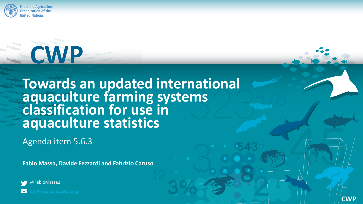



### **Towards an updated international aquaculture farming systems classification for use in aquaculture statistics**

Agenda item 5.6.3

**Fabio Massa, Davide Fezzardi and Fabrizio Caruso**



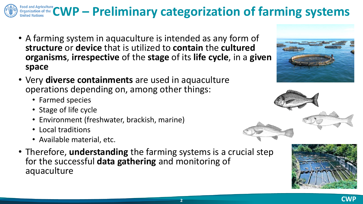# **CWP** – **Preliminary categorization of the CWP** – **Preliminary categorization of farming systems**

- A farming system in aquaculture is intended as any form of **structure** or **device** that is utilized to **contain** the **cultured organisms**, **irrespective** of the **stage** of its **life cycle**, in a **given space**
- Very **diverse containments** are used in aquaculture operations depending on, among other things:
	- Farmed species
	- Stage of life cycle
	- Environment (freshwater, brackish, marine)
	- Local traditions
	- Available material, etc.
- Therefore, **understanding** the farming systems is a crucial step for the successful **data gathering** and monitoring of aquaculture







**CWP**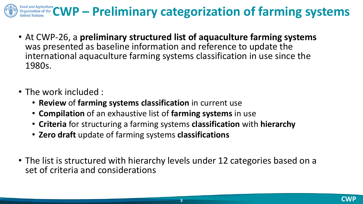# **CWP** – **Preliminary categorization of the CWP** – **Preliminary categorization of farming systems**

- At CWP-26, a **preliminary structured list of aquaculture farming systems**  was presented as baseline information and reference to update the international aquaculture farming systems classification in use since the 1980s.
- The work included :
	- **Review** of **farming systems classification** in current use
	- **Compilation** of an exhaustive list of **farming systems** in use
	- **Criteria** for structuring a farming systems **classification** with **hierarchy**
	- **Zero draft** update of farming systems **classifications**
- The list is structured with hierarchy levels under 12 categories based on a set of criteria and considerations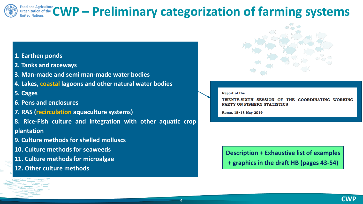## **COOd and Agriculture**<br>Organization of the CWP — Preliminary categorization of farming systems

#### **1. Earthen ponds**

**2. Tanks and raceways**

- **3. Man-made and semi man-made water bodies**
- **4. Lakes, coastal lagoons and other natural water bodies**

**5. Cages**

- **6. Pens and enclosures**
- **7. RAS (recirculation aquaculture systems)**

**8. Rice-Fish culture and integration with other aquatic crop plantation**

- **9. Culture methods for shelled molluscs**
- **10. Culture methods for seaweeds**
- **11. Culture methods for microalgae**
- **12. Other culture methods**



#### **Report of the**

TWENTY-SIXTH SESSION OF THE COORDINATING WORKING PARTY ON FISHERY STATISTICS

Rome, 15-18 May 2019

**Description to the due follows + graphics to be included Description + Exhaustive list of examples + graphics in the draft HB (pages 43-54)**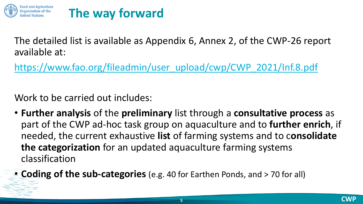

The detailed list is available as Appendix 6, Annex 2, of the CWP-26 report available at:

[https://www.fao.org/fileadmin/user\\_upload/cwp/CWP\\_2021/Inf.8.pdf](https://www.fao.org/fileadmin/user_upload/cwp/CWP_2021/Inf.8.pdf)

Work to be carried out includes:

- **Further analysis** of the **preliminary** list through a **consultative process** as part of the CWP ad-hoc task group on aquaculture and to **further enrich**, if needed, the current exhaustive **list** of farming systems and to c**onsolidate the categorization** for an updated aquaculture farming systems classification
- **Coding of the sub-categories** (e.g. 40 for Earthen Ponds, and > 70 for all)